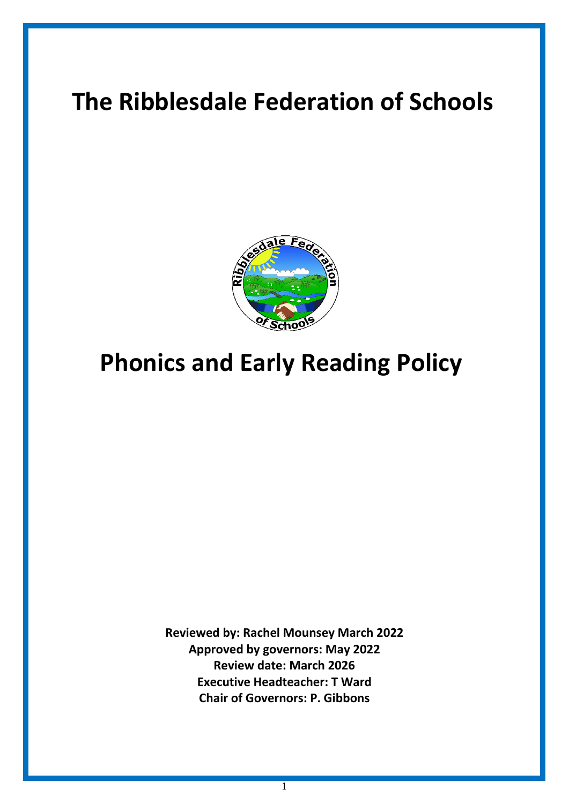# **The Ribblesdale Federation of Schools**



# **Phonics and Early Reading Policy**

**Reviewed by: Rachel Mounsey March 2022 Approved by governors: May 2022 Review date: March 2026 Executive Headteacher: T Ward Chair of Governors: P. Gibbons**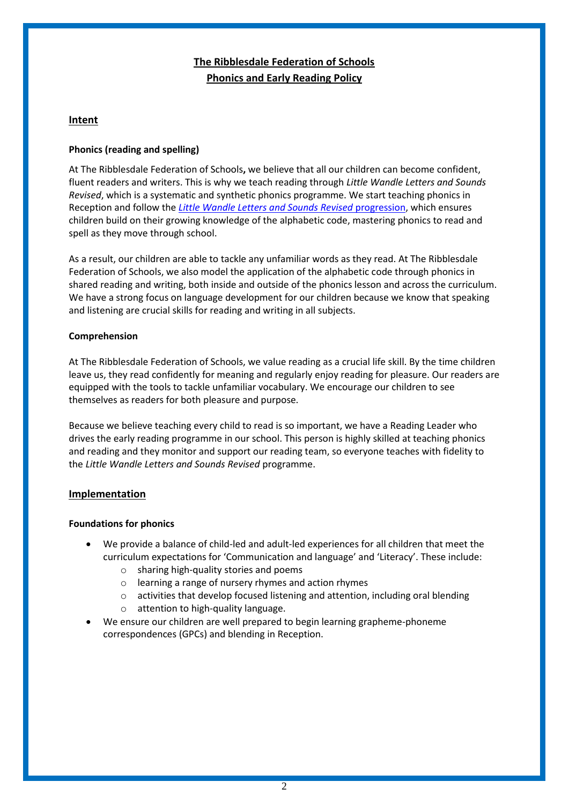# **The Ribblesdale Federation of Schools Phonics and Early Reading Policy**

# **Intent**

# **Phonics (reading and spelling)**

At The Ribblesdale Federation of Schools**,** we believe that all our children can become confident, fluent readers and writers. This is why we teach reading through *Little Wandle Letters and Sounds Revised*, which is a systematic and synthetic phonics programme. We start teaching phonics in Reception and follow the *[Little Wandle Letters and Sounds Revised](https://wandlelearningtrust.sharepoint.com/sites/WTSA2/Shared%20Documents/Forms/AllItems.aspx?csf=1&web=1&e=dA5Kg8&cid=c07c4b6e%2D7eff%2D4834%2Db0a2%2De34e77f1195a&FolderCTID=0x0120002B68E4606EDEEB42917E483D1520364F&id=%2Fsites%2FWTSA2%2FShared%20Documents%2FLetters%20and%20Sounds%2FLetters%20and%20Sounds%20Revised%2FSigned%20off%20files%2FProgramme%20Overview%5FReception%20and%20Year%201%2Epdf&parent=%2Fsites%2FWTSA2%2FShared%20Documents%2FLetters%20and%20Sounds%2FLetters%20and%20Sounds%20Revised%2FSigned%20off%20files)* progression, which ensures children build on their growing knowledge of the alphabetic code, mastering phonics to read and spell as they move through school.

As a result, our children are able to tackle any unfamiliar words as they read. At The Ribblesdale Federation of Schools, we also model the application of the alphabetic code through phonics in shared reading and writing, both inside and outside of the phonics lesson and across the curriculum. We have a strong focus on language development for our children because we know that speaking and listening are crucial skills for reading and writing in all subjects.

# **Comprehension**

At The Ribblesdale Federation of Schools, we value reading as a crucial life skill. By the time children leave us, they read confidently for meaning and regularly enjoy reading for pleasure. Our readers are equipped with the tools to tackle unfamiliar vocabulary. We encourage our children to see themselves as readers for both pleasure and purpose.

Because we believe teaching every child to read is so important, we have a Reading Leader who drives the early reading programme in our school. This person is highly skilled at teaching phonics and reading and they monitor and support our reading team, so everyone teaches with fidelity to the *Little Wandle Letters and Sounds Revised* programme.

# **Implementation**

#### **Foundations for phonics**

- We provide a balance of child-led and adult-led experiences for all children that meet the curriculum expectations for 'Communication and language' and 'Literacy'. These include:
	- o sharing high-quality stories and poems
	- o learning a range of nursery rhymes and action rhymes
	- $\circ$  activities that develop focused listening and attention, including oral blending
	- o attention to high-quality language.
- We ensure our children are well prepared to begin learning grapheme-phoneme correspondences (GPCs) and blending in Reception.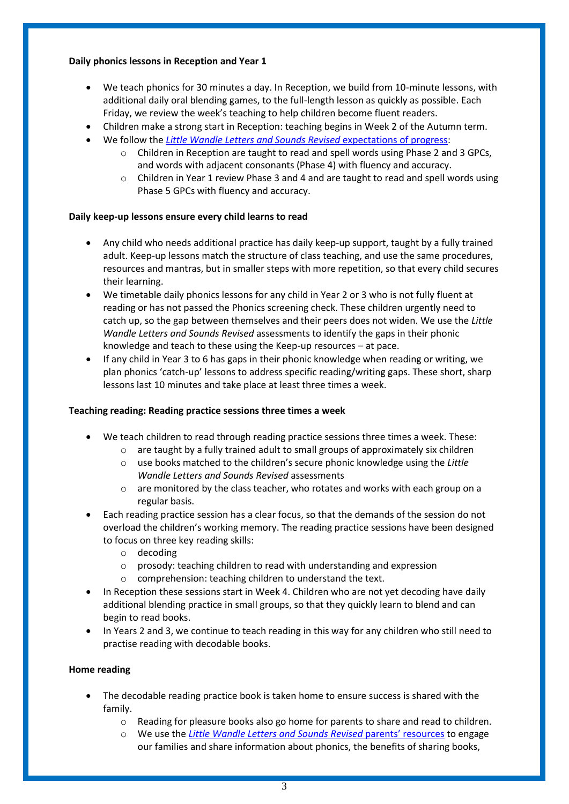# **Daily phonics lessons in Reception and Year 1**

- We teach phonics for 30 minutes a day. In Reception, we build from 10-minute lessons, with additional daily oral blending games, to the full-length lesson as quickly as possible. Each Friday, we review the week's teaching to help children become fluent readers.
- Children make a strong start in Reception: teaching begins in Week 2 of the Autumn term.
- We follow the *[Little Wandle Letters and Sounds Revised](https://wandlelearningtrust.sharepoint.com/sites/WTSA2/Shared%20Documents/Forms/AllItems.aspx?csf=1&web=1&e=dA5Kg8&cid=c07c4b6e%2D7eff%2D4834%2Db0a2%2De34e77f1195a&FolderCTID=0x0120002B68E4606EDEEB42917E483D1520364F&id=%2Fsites%2FWTSA2%2FShared%20Documents%2FLetters%20and%20Sounds%2FLetters%20and%20Sounds%20Revised%2FSigned%20off%20files%2FProgramme%20Overview%5FReception%20and%20Year%201%2Epdf&parent=%2Fsites%2FWTSA2%2FShared%20Documents%2FLetters%20and%20Sounds%2FLetters%20and%20Sounds%20Revised%2FSigned%20off%20files)* expectations of progress:
	- $\circ$  Children in Reception are taught to read and spell words using Phase 2 and 3 GPCs, and words with adjacent consonants (Phase 4) with fluency and accuracy.
	- o Children in Year 1 review Phase 3 and 4 and are taught to read and spell words using Phase 5 GPCs with fluency and accuracy.

# **Daily keep-up lessons ensure every child learns to read**

- Any child who needs additional practice has daily keep-up support, taught by a fully trained adult. Keep-up lessons match the structure of class teaching, and use the same procedures, resources and mantras, but in smaller steps with more repetition, so that every child secures their learning.
- We timetable daily phonics lessons for any child in Year 2 or 3 who is not fully fluent at reading or has not passed the Phonics screening check. These children urgently need to catch up, so the gap between themselves and their peers does not widen. We use the *Little Wandle Letters and Sounds Revised* assessments to identify the gaps in their phonic knowledge and teach to these using the Keep-up resources – at pace.
- If any child in Year 3 to 6 has gaps in their phonic knowledge when reading or writing, we plan phonics 'catch-up' lessons to address specific reading/writing gaps. These short, sharp lessons last 10 minutes and take place at least three times a week.

#### **Teaching reading: Reading practice sessions three times a week**

- We teach children to read through reading practice sessions three times a week. These:
	- $\circ$  are taught by a fully trained adult to small groups of approximately six children
	- o use books matched to the children's secure phonic knowledge using the *Little Wandle Letters and Sounds Revised* assessments
	- $\circ$  are monitored by the class teacher, who rotates and works with each group on a regular basis.
- Each reading practice session has a clear focus, so that the demands of the session do not overload the children's working memory. The reading practice sessions have been designed to focus on three key reading skills:
	- o decoding
	- o prosody: teaching children to read with understanding and expression
	- o comprehension: teaching children to understand the text.
- In Reception these sessions start in Week 4. Children who are not yet decoding have daily additional blending practice in small groups, so that they quickly learn to blend and can begin to read books.
- In Years 2 and 3, we continue to teach reading in this way for any children who still need to practise reading with decodable books.

#### **Home reading**

- The decodable reading practice book is taken home to ensure success is shared with the family.
	- $\circ$  Reading for pleasure books also go home for parents to share and read to children.
	- o We use the *[Little Wandle Letters and Sounds Revised](https://www.littlewandlelettersandsounds.org.uk/resources/for-parents/)* parents' resources to engage our families and share information about phonics, the benefits of sharing books,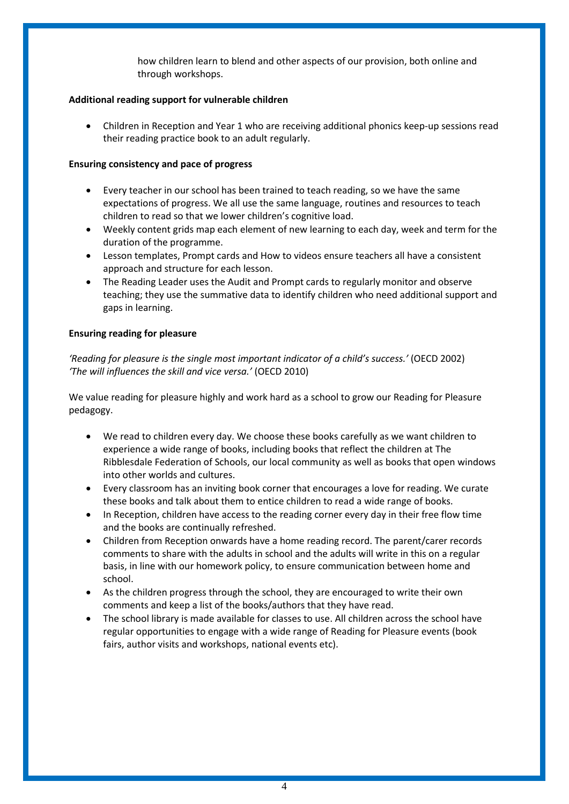how children learn to blend and other aspects of our provision, both online and through workshops.

#### **Additional reading support for vulnerable children**

• Children in Reception and Year 1 who are receiving additional phonics keep-up sessions read their reading practice book to an adult regularly.

# **Ensuring consistency and pace of progress**

- Every teacher in our school has been trained to teach reading, so we have the same expectations of progress. We all use the same language, routines and resources to teach children to read so that we lower children's cognitive load.
- Weekly content grids map each element of new learning to each day, week and term for the duration of the programme.
- Lesson templates, Prompt cards and How to videos ensure teachers all have a consistent approach and structure for each lesson.
- The Reading Leader uses the Audit and Prompt cards to regularly monitor and observe teaching; they use the summative data to identify children who need additional support and gaps in learning.

# **Ensuring reading for pleasure**

*'Reading for pleasure is the single most important indicator of a child's success.'* (OECD 2002) *'The will influences the skill and vice versa.'* (OECD 2010)

We value reading for pleasure highly and work hard as a school to grow our Reading for Pleasure pedagogy.

- We read to children every day. We choose these books carefully as we want children to experience a wide range of books, including books that reflect the children at The Ribblesdale Federation of Schools, our local community as well as books that open windows into other worlds and cultures.
- Every classroom has an inviting book corner that encourages a love for reading. We curate these books and talk about them to entice children to read a wide range of books.
- In Reception, children have access to the reading corner every day in their free flow time and the books are continually refreshed.
- Children from Reception onwards have a home reading record. The parent/carer records comments to share with the adults in school and the adults will write in this on a regular basis, in line with our homework policy, to ensure communication between home and school.
- As the children progress through the school, they are encouraged to write their own comments and keep a list of the books/authors that they have read.
- The school library is made available for classes to use. All children across the school have regular opportunities to engage with a wide range of Reading for Pleasure events (book fairs, author visits and workshops, national events etc).